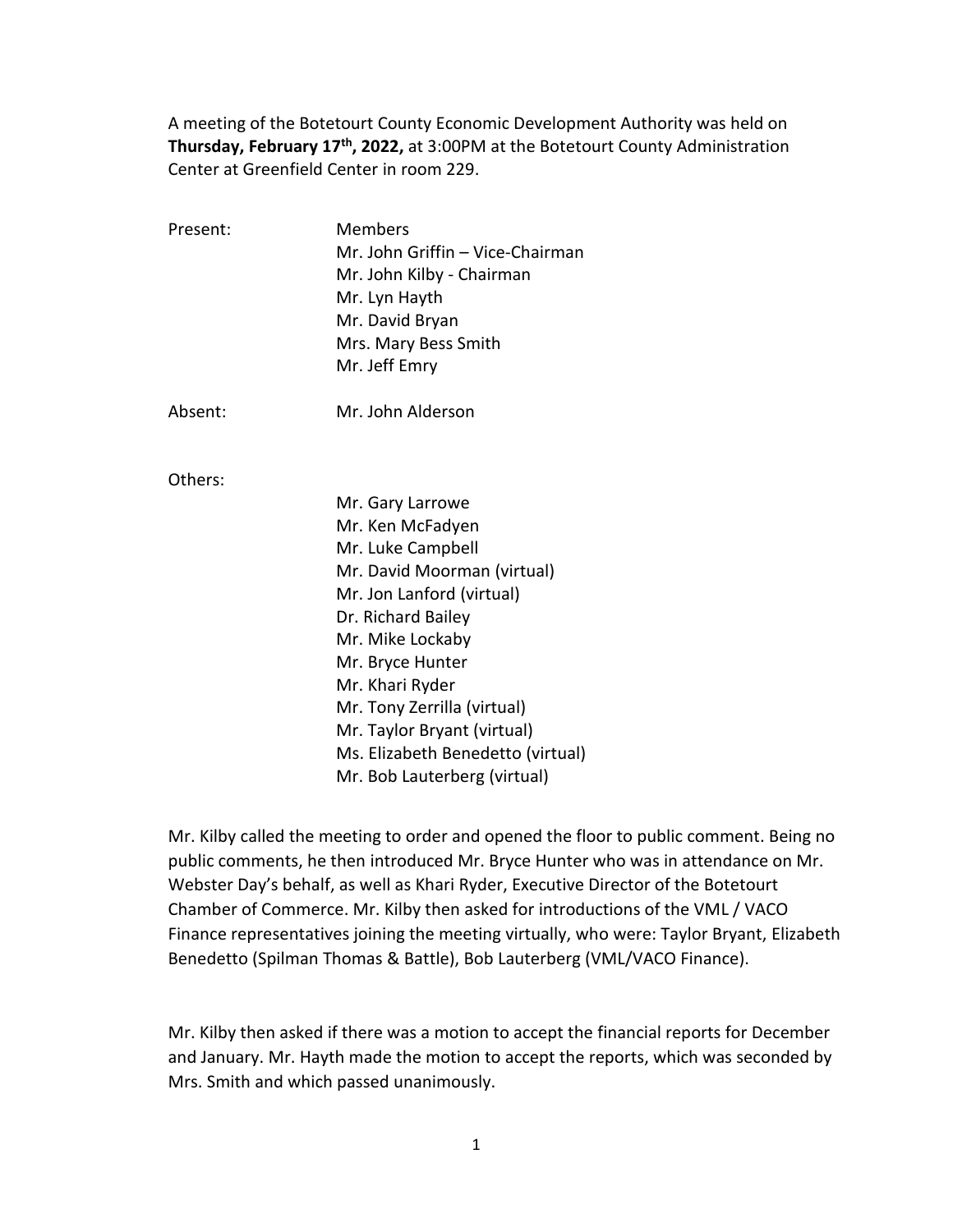A meeting of the Botetourt County Economic Development Authority was held on **Thursday, February 17th , 2022,** at 3:00PM at the Botetourt County Administration Center at Greenfield Center in room 229.

| Present: | <b>Members</b><br>Mr. John Griffin – Vice-Chairman<br>Mr. John Kilby - Chairman<br>Mr. Lyn Hayth<br>Mr. David Bryan<br>Mrs. Mary Bess Smith<br>Mr. Jeff Emry |
|----------|--------------------------------------------------------------------------------------------------------------------------------------------------------------|
| Absent:  | Mr. John Alderson                                                                                                                                            |
| Others:  |                                                                                                                                                              |
|          | Mr. Gary Larrowe                                                                                                                                             |
|          | Mr. Ken McFadyen                                                                                                                                             |
|          | Mr. Luke Campbell                                                                                                                                            |
|          | Mr. David Moorman (virtual)                                                                                                                                  |
|          | Mr. Jon Lanford (virtual)                                                                                                                                    |
|          | Dr. Richard Bailey                                                                                                                                           |
|          | Mr. Mike Lockaby                                                                                                                                             |
|          | Mr. Bryce Hunter                                                                                                                                             |
|          | Mr. Khari Ryder                                                                                                                                              |
|          | Mr. Tony Zerrilla (virtual)                                                                                                                                  |
|          | Mr. Taylor Bryant (virtual)                                                                                                                                  |
|          | Ms. Elizabeth Benedetto (virtual)                                                                                                                            |
|          | Mr. Bob Lauterberg (virtual)                                                                                                                                 |

Mr. Kilby called the meeting to order and opened the floor to public comment. Being no public comments, he then introduced Mr. Bryce Hunter who was in attendance on Mr. Webster Day's behalf, as well as Khari Ryder, Executive Director of the Botetourt Chamber of Commerce. Mr. Kilby then asked for introductions of the VML / VACO Finance representatives joining the meeting virtually, who were: Taylor Bryant, Elizabeth Benedetto (Spilman Thomas & Battle), Bob Lauterberg (VML/VACO Finance).

Mr. Kilby then asked if there was a motion to accept the financial reports for December and January. Mr. Hayth made the motion to accept the reports, which was seconded by Mrs. Smith and which passed unanimously.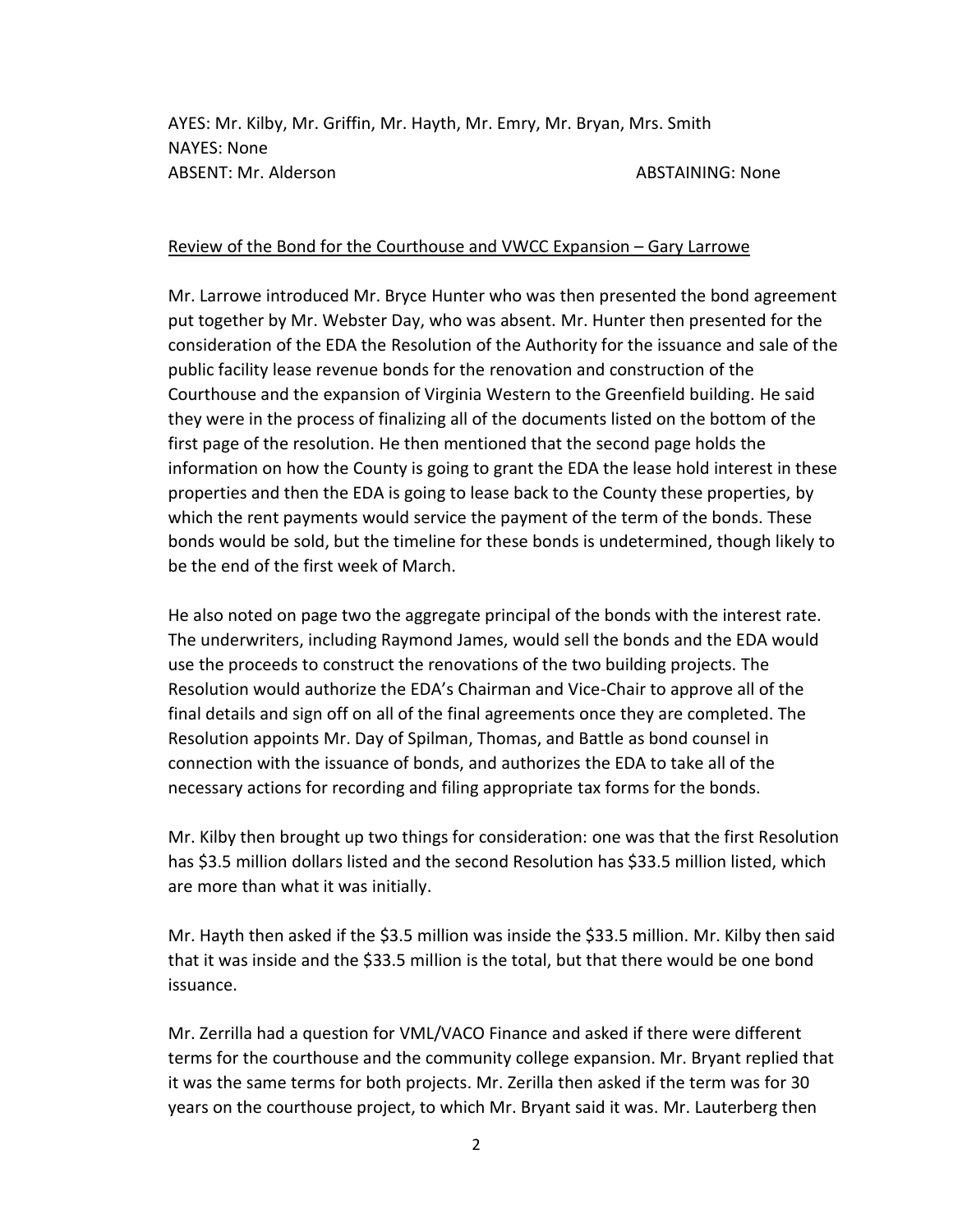AYES: Mr. Kilby, Mr. Griffin, Mr. Hayth, Mr. Emry, Mr. Bryan, Mrs. Smith NAYES: None ABSENT: Mr. Alderson ABSENT: Mr. Alderson ABSTAINING: None

## Review of the Bond for the Courthouse and VWCC Expansion - Gary Larrowe

Mr. Larrowe introduced Mr. Bryce Hunter who was then presented the bond agreement put together by Mr. Webster Day, who was absent. Mr. Hunter then presented for the consideration of the EDA the Resolution of the Authority for the issuance and sale of the public facility lease revenue bonds for the renovation and construction of the Courthouse and the expansion of Virginia Western to the Greenfield building. He said they were in the process of finalizing all of the documents listed on the bottom of the first page of the resolution. He then mentioned that the second page holds the information on how the County is going to grant the EDA the lease hold interest in these properties and then the EDA is going to lease back to the County these properties, by which the rent payments would service the payment of the term of the bonds. These bonds would be sold, but the timeline for these bonds is undetermined, though likely to be the end of the first week of March.

He also noted on page two the aggregate principal of the bonds with the interest rate. The underwriters, including Raymond James, would sell the bonds and the EDA would use the proceeds to construct the renovations of the two building projects. The Resolution would authorize the EDA's Chairman and Vice-Chair to approve all of the final details and sign off on all of the final agreements once they are completed. The Resolution appoints Mr. Day of Spilman, Thomas, and Battle as bond counsel in connection with the issuance of bonds, and authorizes the EDA to take all of the necessary actions for recording and filing appropriate tax forms for the bonds.

Mr. Kilby then brought up two things for consideration: one was that the first Resolution has \$3.5 million dollars listed and the second Resolution has \$33.5 million listed, which are more than what it was initially.

Mr. Hayth then asked if the \$3.5 million was inside the \$33.5 million. Mr. Kilby then said that it was inside and the \$33.5 million is the total, but that there would be one bond issuance.

Mr. Zerrilla had a question for VML/VACO Finance and asked if there were different terms for the courthouse and the community college expansion. Mr. Bryant replied that it was the same terms for both projects. Mr. Zerilla then asked if the term was for 30 years on the courthouse project, to which Mr. Bryant said it was. Mr. Lauterberg then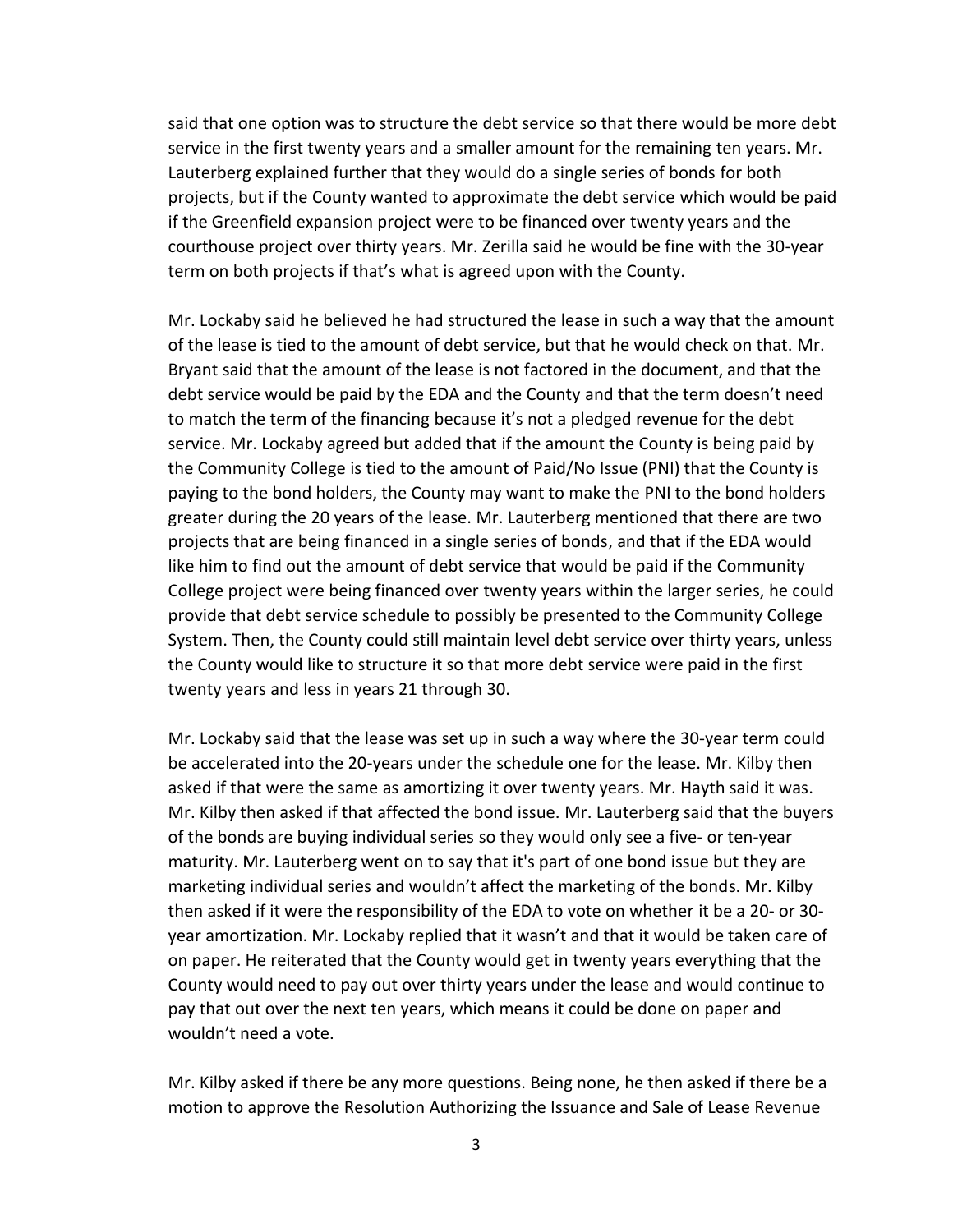said that one option was to structure the debt service so that there would be more debt service in the first twenty years and a smaller amount for the remaining ten years. Mr. Lauterberg explained further that they would do a single series of bonds for both projects, but if the County wanted to approximate the debt service which would be paid if the Greenfield expansion project were to be financed over twenty years and the courthouse project over thirty years. Mr. Zerilla said he would be fine with the 30-year term on both projects if that's what is agreed upon with the County.

Mr. Lockaby said he believed he had structured the lease in such a way that the amount of the lease is tied to the amount of debt service, but that he would check on that. Mr. Bryant said that the amount of the lease is not factored in the document, and that the debt service would be paid by the EDA and the County and that the term doesn't need to match the term of the financing because it's not a pledged revenue for the debt service. Mr. Lockaby agreed but added that if the amount the County is being paid by the Community College is tied to the amount of Paid/No Issue (PNI) that the County is paying to the bond holders, the County may want to make the PNI to the bond holders greater during the 20 years of the lease. Mr. Lauterberg mentioned that there are two projects that are being financed in a single series of bonds, and that if the EDA would like him to find out the amount of debt service that would be paid if the Community College project were being financed over twenty years within the larger series, he could provide that debt service schedule to possibly be presented to the Community College System. Then, the County could still maintain level debt service over thirty years, unless the County would like to structure it so that more debt service were paid in the first twenty years and less in years 21 through 30.

Mr. Lockaby said that the lease was set up in such a way where the 30-year term could be accelerated into the 20-years under the schedule one for the lease. Mr. Kilby then asked if that were the same as amortizing it over twenty years. Mr. Hayth said it was. Mr. Kilby then asked if that affected the bond issue. Mr. Lauterberg said that the buyers of the bonds are buying individual series so they would only see a five- or ten-year maturity. Mr. Lauterberg went on to say that it's part of one bond issue but they are marketing individual series and wouldn't affect the marketing of the bonds. Mr. Kilby then asked if it were the responsibility of the EDA to vote on whether it be a 20- or 30 year amortization. Mr. Lockaby replied that it wasn't and that it would be taken care of on paper. He reiterated that the County would get in twenty years everything that the County would need to pay out over thirty years under the lease and would continue to pay that out over the next ten years, which means it could be done on paper and wouldn't need a vote.

Mr. Kilby asked if there be any more questions. Being none, he then asked if there be a motion to approve the Resolution Authorizing the Issuance and Sale of Lease Revenue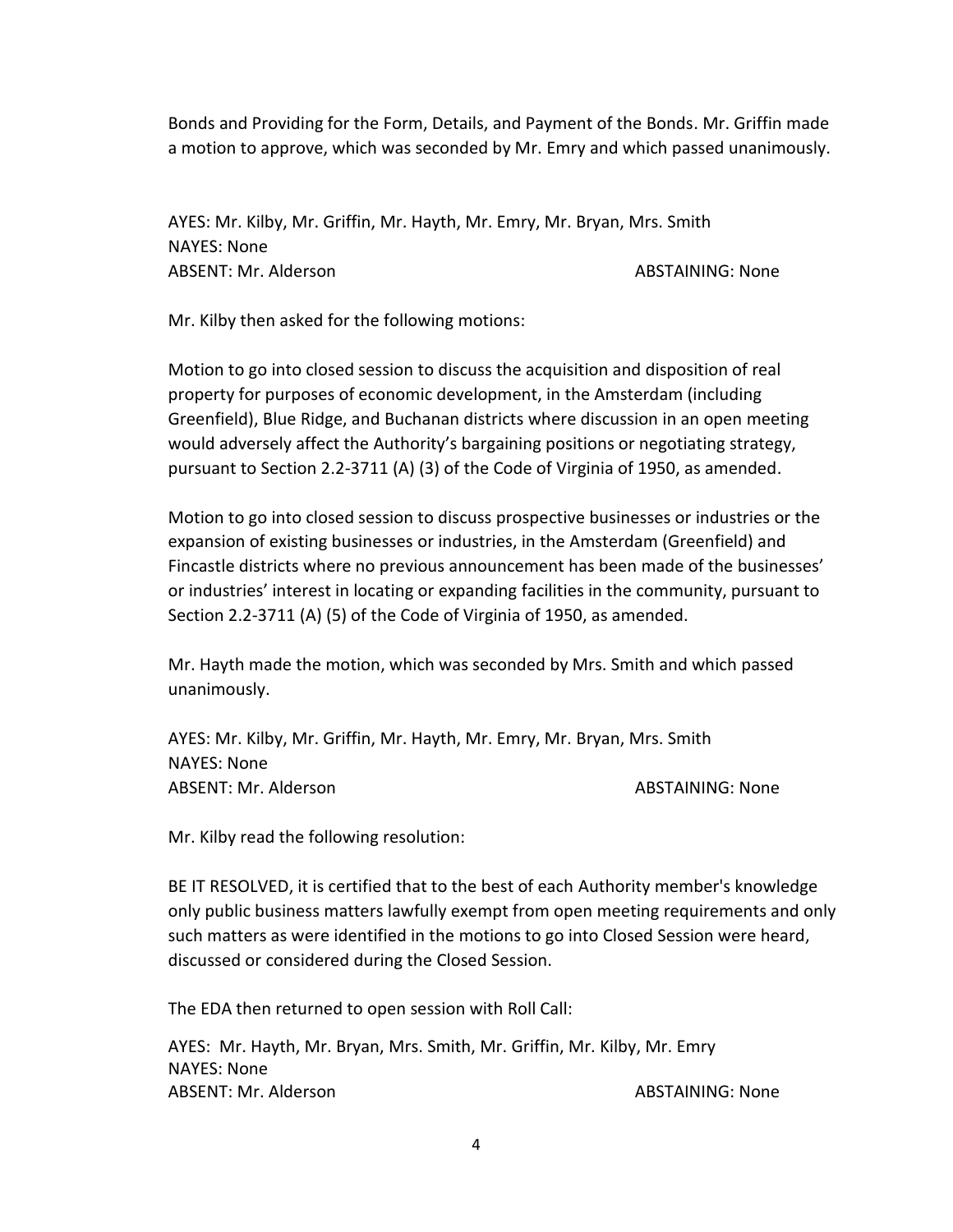Bonds and Providing for the Form, Details, and Payment of the Bonds. Mr. Griffin made a motion to approve, which was seconded by Mr. Emry and which passed unanimously.

AYES: Mr. Kilby, Mr. Griffin, Mr. Hayth, Mr. Emry, Mr. Bryan, Mrs. Smith NAYES: None ABSENT: Mr. Alderson ABSTAINING: None

Mr. Kilby then asked for the following motions:

Motion to go into closed session to discuss the acquisition and disposition of real property for purposes of economic development, in the Amsterdam (including Greenfield), Blue Ridge, and Buchanan districts where discussion in an open meeting would adversely affect the Authority's bargaining positions or negotiating strategy, pursuant to Section 2.2-3711 (A) (3) of the Code of Virginia of 1950, as amended.

Motion to go into closed session to discuss prospective businesses or industries or the expansion of existing businesses or industries, in the Amsterdam (Greenfield) and Fincastle districts where no previous announcement has been made of the businesses' or industries' interest in locating or expanding facilities in the community, pursuant to Section 2.2-3711 (A) (5) of the Code of Virginia of 1950, as amended.

Mr. Hayth made the motion, which was seconded by Mrs. Smith and which passed unanimously.

AYES: Mr. Kilby, Mr. Griffin, Mr. Hayth, Mr. Emry, Mr. Bryan, Mrs. Smith NAYES: None ABSENT: Mr. Alderson ABSENT: Mr. Alderson

Mr. Kilby read the following resolution:

BE IT RESOLVED, it is certified that to the best of each Authority member's knowledge only public business matters lawfully exempt from open meeting requirements and only such matters as were identified in the motions to go into Closed Session were heard, discussed or considered during the Closed Session.

The EDA then returned to open session with Roll Call:

AYES: Mr. Hayth, Mr. Bryan, Mrs. Smith, Mr. Griffin, Mr. Kilby, Mr. Emry NAYES: None ABSENT: Mr. Alderson ABSENT: Mr. Alderson